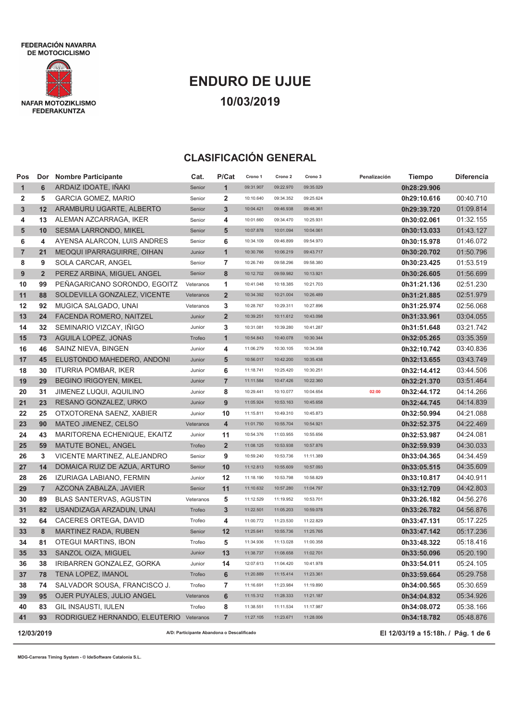

# **ENDURO DE UJUE 10/03/2019**

## **CLASIFICACIÓN GENERAL**

| Pos          |                 | Dor Nombre Participante                    | Cat.      | P/Cat          | Crono 1                             | Crono 2   | Crono 3   | Penalización | <b>Tiempo</b> | Diferencia |
|--------------|-----------------|--------------------------------------------|-----------|----------------|-------------------------------------|-----------|-----------|--------------|---------------|------------|
| $\mathbf{1}$ | 6               | ARDAIZ IDOATE, IÑAKI                       | Senior    | $\mathbf{1}$   | 09:31.907                           | 09:22.970 | 09:35.029 |              | 0h28:29.906   |            |
| 2            | 5               | <b>GARCIA GOMEZ, MARIO</b>                 | Senior    | 2              | 10:10.640                           | 09:34.352 | 09:25.624 |              | 0h29:10.616   | 00:40.710  |
| 3            | 12              | ARAMBURU UGARTE, ALBERTO                   | Senior    | 3              | 10:04.421                           | 09:46.938 | 09:48.361 |              | 0h29:39.720   | 01:09.814  |
| 4            | 13              | ALEMAN AZCARRAGA, IKER                     | Senior    | 4              | 10:01.660                           | 09:34.470 | 10:25.931 |              | 0h30:02.061   | 01:32.155  |
| 5            | 10              | <b>SESMA LARRONDO, MIKEL</b>               | Senior    | 5              | 10:07.878                           | 10:01.094 | 10:04.061 |              | 0h30:13.033   | 01:43.127  |
| 6            | 4               | AYENSA ALARCON, LUIS ANDRES                | Senior    | 6              | 10:34.109                           | 09:46.899 | 09:54.970 |              | 0h30:15.978   | 01:46.072  |
| 7            | 21              | <b>MEOQUI IPARRAGUIRRE, OIHAN</b>          | Junior    | $\mathbf{1}$   | 10:30.766                           | 10:06.219 | 09:43.717 |              | 0h30:20.702   | 01:50.796  |
| 8            | 9               | SOLA CARCAR, ANGEL                         | Senior    | 7              | 10:26.749                           | 09:58.296 | 09:58.380 |              | 0h30:23.425   | 01:53.519  |
| 9            | $\overline{2}$  | PEREZ ARBINA, MIGUEL ANGEL                 | Senior    | 8              | 10:12.702                           | 09:59.982 | 10:13.921 |              | 0h30:26.605   | 01:56.699  |
| 10           | 99              | PEÑAGARICANO SORONDO, EGOITZ               | Veteranos | 1              | 10:41.048                           | 10:18.385 | 10:21.703 |              | 0h31:21.136   | 02:51.230  |
| 11           | 88              | SOLDEVILLA GONZALEZ, VICENTE               | Veteranos | $\overline{2}$ | 10:34.392                           | 10:21.004 | 10:26.489 |              | 0h31:21.885   | 02:51.979  |
| 12           | 92              | MUGICA SALGADO, UNAI                       | Veteranos | 3              | 10:28.767                           | 10:29.311 | 10:27.896 |              | 0h31:25.974   | 02:56.068  |
| 13           | 24              | FACENDA ROMERO, NAITZEL                    | Junior    | $\overline{2}$ | 10:39.251                           | 10:11.612 | 10:43.098 |              | 0h31:33.961   | 03:04.055  |
| 14           | 32              | SEMINARIO VIZCAY, IÑIGO                    | Junior    | 3              | 10:31.081                           | 10:39.280 | 10:41.287 |              | 0h31:51.648   | 03:21.742  |
| 15           | 73              | <b>AGUILA LOPEZ, JONAS</b>                 | Trofeo    | $\mathbf{1}$   | 10:54.843                           | 10:40.078 | 10:30.344 |              | 0h32:05.265   | 03:35.359  |
| 16           | 46              | SAINZ NIEVA, BINGEN                        | Junior    | 4              | 11:06.279                           | 10:30.105 | 10:34.358 |              | 0h32:10.742   | 03:40.836  |
| 17           | 45              | ELUSTONDO MAHEDERO, ANDONI                 | Junior    | 5              | 10:56.017                           | 10:42.200 | 10:35.438 |              | 0h32:13.655   | 03:43.749  |
| 18           | 30              | <b>ITURRIA POMBAR, IKER</b>                | Junior    | 6              | 11:18.741                           | 10:25.420 | 10:30.251 |              | 0h32:14.412   | 03:44.506  |
| 19           | 29              | <b>BEGINO IRIGOYEN, MIKEL</b>              | Junior    | $\overline{7}$ | 11:11.584                           | 10:47.426 | 10:22.360 |              | 0h32:21.370   | 03:51.464  |
| 20           | 31              | JIMENEZ LUQUI, AQUILINO                    | Junior    | 8              | 10:29.441                           | 10:10.077 | 10:04.654 | 02:00        | 0h32:44.172   | 04:14.266  |
| 21           | 23              | RESANO GONZALEZ, URKO                      | Junior    | 9              | 11:05.924                           | 10:53.163 | 10:45.658 |              | 0h32:44.745   | 04:14.839  |
| 22           | 25              | OTXOTORENA SAENZ, XABIER                   | Junior    | 10             | 11:15.811                           | 10:49.310 | 10:45.873 |              | 0h32:50.994   | 04:21.088  |
| 23           | 90              | MATEO JIMENEZ, CELSO                       | Veteranos | 4              | 11:01.750                           | 10:55.704 | 10:54.921 |              | 0h32:52.375   | 04:22.469  |
| 24           | 43              | MARITORENA ECHENIQUE, EKAITZ               | Junior    | 11             | 10:54.376                           | 11:03.955 | 10:55.656 |              | 0h32:53.987   | 04:24.081  |
| 25           | 59              | MATUTE BONEL, ANGEL                        | Trofeo    | $\overline{2}$ | 11:08.125                           | 10:53.938 | 10:57.876 |              | 0h32:59.939   | 04:30.033  |
| 26           | 3               | VICENTE MARTINEZ, ALEJANDRO                | Senior    | 9              | 10:59.240                           | 10:53.736 | 11:11.389 |              | 0h33:04.365   | 04:34.459  |
| 27           | 14              | DOMAICA RUIZ DE AZUA, ARTURO               | Senior    | 10             | 11:12.813                           | 10:55.609 | 10:57.093 |              | 0h33:05.515   | 04:35.609  |
| 28           | 26              | IZURIAGA LABIANO, FERMIN                   | Junior    | 12             | 11:18.190                           | 10:53.798 | 10:58.829 |              | 0h33:10.817   | 04:40.911  |
| 29           | $\overline{7}$  | AZCONA ZABALZA, JAVIER                     | Senior    | 11             | 11:10.632                           | 10:57.280 | 11:04.797 |              | 0h33:12.709   | 04:42.803  |
| 30           | 89              | <b>BLAS SANTERVAS, AGUSTIN</b>             | Veteranos | 5              | 11:12.529                           | 11:19.952 | 10:53.701 |              | 0h33:26.182   | 04:56.276  |
| 31           | 82              | USANDIZAGA ARZADUN, UNAI                   | Trofeo    | 3              | 11:22.501                           | 11:05.203 | 10:59.078 |              | 0h33:26.782   | 04:56.876  |
| 32           | 64              | CACERES ORTEGA, DAVID                      | Trofeo    | 4              | 11:00.772                           | 11:23.530 | 11:22.829 |              | 0h33:47.131   | 05:17.225  |
| 33           | 8               | MARTINEZ RADA, RUBEN                       | Senior    | 12             | 11:25.641                           | 10:55.736 | 11:25.765 |              | 0h33:47.142   | 05:17.236  |
| 34           | 81              | OTEGUI MARTINS, IBON                       | Trofeo    | 5              | 11:34.936                           | 11:13.028 | 11:00.358 |              | 0h33:48.322   | 05:18.416  |
| 35           | 33 <sup>°</sup> | SANZOL OIZA, MIGUEL                        | Junior    | 13             | 11:38.737                           | 11:08.658 | 11:02.701 |              | 0h33:50.096   | 05:20.190  |
| 36           | 38              | IRIBARREN GONZALEZ, GORKA                  | Junior    | 14             | 12:07.613                           | 11:04.420 | 10:41.978 |              | 0h33:54.011   | 05:24.105  |
| 37           | 78              | TENA LOPEZ, IMANOL                         | Trofeo    | 6              | 11:20.889                           | 11:15.414 | 11:23.361 |              | 0h33:59.664   | 05:29.758  |
| 38           | 74              | SALVADOR SOUSA, FRANCISCO J.               | Trofeo    | 7              | 11:16.691                           | 11:23.984 | 11:19.890 |              | 0h34:00.565   | 05:30.659  |
| 39           | 95              | OJER PUYALES, JULIO ANGEL                  | Veteranos | 6              | 11:15.312                           | 11:28.333 | 11:21.187 |              | 0h34:04.832   | 05:34.926  |
| 40           | 83              | GIL INSAUSTI, IULEN                        | Trofeo    | 8              | 11:38.551                           | 11:11.534 | 11:17.987 |              | 0h34:08.072   | 05:38.166  |
| 41           | 93              | RODRIGUEZ HERNANDO, ELEUTERIO              | Veteranos | $\overline{7}$ | 11:27.105                           | 11:23.671 | 11:28.006 |              | 0h34:18.782   | 05:48.876  |
|              | 12/03/2019      | A/D: Participante Abandona o Descalificado |           |                | El 12/03/19 a 15:18h. / Pág. 1 de 6 |           |           |              |               |            |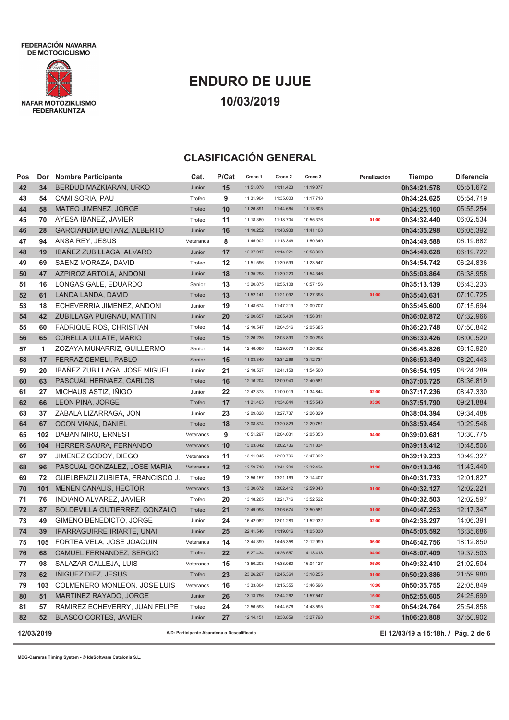

# **ENDURO DE UJUE 10/03/2019**

## **CLASIFICACIÓN GENERAL**

| Pos | Dor        | <b>Nombre Participante</b>        | Cat.                                       | P/Cat | Crono 1   | Crono 2   | Crono 3   | Penalización | <b>Tiempo</b>                       | Diferencia |
|-----|------------|-----------------------------------|--------------------------------------------|-------|-----------|-----------|-----------|--------------|-------------------------------------|------------|
| 42  | 34         | BERDUD MAZKIARAN, URKO            | Junior                                     | 15    | 11:51.078 | 11:11.423 | 11:19.077 |              | 0h34:21.578                         | 05:51.672  |
| 43  | 54         | CAMI SORIA, PAU                   | Trofeo                                     | 9     | 11:31.904 | 11:35.003 | 11:17.718 |              | 0h34:24.625                         | 05:54.719  |
| 44  | 58         | MATEO JIMENEZ, JORGE              | Trofeo                                     | 10    | 11:26.891 | 11:44.664 | 11:13.605 |              | 0h34:25.160                         | 05:55.254  |
| 45  | 70         | AYESA IBAÑEZ, JAVIER              | Trofeo                                     | 11    | 11:18.360 | 11:18.704 | 10:55.376 | 01:00        | 0h34:32.440                         | 06:02.534  |
| 46  | 28         | <b>GARCIANDIA BOTANZ, ALBERTO</b> | Junior                                     | 16    | 11:10.252 | 11:43.938 | 11:41.108 |              | 0h34:35.298                         | 06:05.392  |
| 47  | 94         | ANSA REY, JESUS                   | Veteranos                                  | 8     | 11:45.902 | 11:13.346 | 11:50.340 |              | 0h34:49.588                         | 06:19.682  |
| 48  | 19         | IBAÑEZ ZUBILLAGA, ALVARO          | Junior                                     | 17    | 12:37.017 | 11:14.221 | 10:58.390 |              | 0h34:49.628                         | 06:19.722  |
| 49  | 69         | SAENZ MORAZA, DAVID               | Trofeo                                     | 12    | 11:51.596 | 11:39.599 | 11:23.547 |              | 0h34:54.742                         | 06:24.836  |
| 50  | 47         | AZPIROZ ARTOLA, ANDONI            | Junior                                     | 18    | 11:35.298 | 11:39.220 | 11:54.346 |              | 0h35:08.864                         | 06:38.958  |
| 51  | 16         | LONGAS GALE, EDUARDO              | Senior                                     | 13    | 13:20.875 | 10:55.108 | 10:57.156 |              | 0h35:13.139                         | 06:43.233  |
| 52  | 61         | LANDA LANDA, DAVID                | Trofeo                                     | 13    | 11:52.141 | 11:21.092 | 11:27.398 | 01:00        | 0h35:40.631                         | 07:10.725  |
| 53  | 18         | ECHEVERRIA JIMENEZ, ANDONI        | Junior                                     | 19    | 11:48.674 | 11:47.219 | 12:09.707 |              | 0h35:45.600                         | 07:15.694  |
| 54  | 42         | ZUBILLAGA PUIGNAU, MATTIN         | Junior                                     | 20    | 12:00.657 | 12:05.404 | 11:56.811 |              | 0h36:02.872                         | 07:32.966  |
| 55  | 60         | <b>FADRIQUE ROS, CHRISTIAN</b>    | Trofeo                                     | 14    | 12:10.547 | 12:04.516 | 12:05.685 |              | 0h36:20.748                         | 07:50.842  |
| 56  | 65         | CORELLA ULLATE, MARIO             | Trofeo                                     | 15    | 12:26.235 | 12:03.893 | 12:00.298 |              | 0h36:30.426                         | 08:00.520  |
| 57  | 1          | ZOZAYA MUNARRIZ, GUILLERMO        | Senior                                     | 14    | 12:48.686 | 12:29.078 | 11:26.062 |              | 0h36:43.826                         | 08:13.920  |
| 58  | 17         | FERRAZ CEMELI, PABLO              | Senior                                     | 15    | 11:03.349 | 12:34.266 | 13:12.734 |              | 0h36:50.349                         | 08:20.443  |
| 59  | 20         | IBAÑEZ ZUBILLAGA, JOSE MIGUEL     | Junior                                     | 21    | 12:18.537 | 12:41.158 | 11:54.500 |              | 0h36:54.195                         | 08:24.289  |
| 60  | 63         | PASCUAL HERNAEZ, CARLOS           | Trofeo                                     | 16    | 12:16.204 | 12:09.940 | 12:40.581 |              | 0h37:06.725                         | 08:36.819  |
| 61  | 27         | MICHAUS ASTIZ, INIGO              | Junior                                     | 22    | 12:42.373 | 11:00.019 | 11:34.844 | 02:00        | 0h37:17.236                         | 08:47.330  |
| 62  | 66         | <b>LEON PINA, JORGE</b>           | Trofeo                                     | 17    | 11:21.403 | 11:34.844 | 11:55.543 | 03:00        | 0h37:51.790                         | 09:21.884  |
| 63  | 37         | ZABALA LIZARRAGA, JON             | Junior                                     | 23    | 12:09.828 | 13:27.737 | 12:26.829 |              | 0h38:04.394                         | 09:34.488  |
| 64  | 67         | OCON VIANA, DANIEL                | Trofeo                                     | 18    | 13:08.874 | 13:20.829 | 12:29.751 |              | 0h38:59.454                         | 10:29.548  |
| 65  | 102        | DABAN MIRO, ERNEST                | Veteranos                                  | 9     | 10:51.297 | 12:04.031 | 12:05.353 | 04:00        | 0h39:00.681                         | 10:30.775  |
| 66  | 104        | HERRER SAURA, FERNANDO            | Veteranos                                  | 10    | 13:03.842 | 13:02.736 | 13:11.834 |              | 0h39:18.412                         | 10:48.506  |
| 67  | 97         | JIMENEZ GODOY, DIEGO              | Veteranos                                  | 11    | 13:11.045 | 12:20.796 | 13:47.392 |              | 0h39:19.233                         | 10:49.327  |
| 68  | 96         | PASCUAL GONZALEZ, JOSE MARIA      | Veteranos                                  | 12    | 12:59.718 | 13:41.204 | 12:32.424 | 01:00        | 0h40:13.346                         | 11:43.440  |
| 69  | 72         | GUELBENZU ZUBIETA, FRANCISCO J.   | Trofeo                                     | 19    | 13:56.157 | 13:21.169 | 13:14.407 |              | 0h40:31.733                         | 12:01.827  |
| 70  | 101        | MENEN CANALIS, HECTOR             | Veteranos                                  | 13    | 13:30.672 | 13:02.412 | 12:59.043 | 01:00        | 0h40:32.127                         | 12:02.221  |
| 71  | 76         | INDIANO ALVAREZ, JAVIER           | Trofeo                                     | 20    | 13:18.265 | 13:21.716 | 13:52.522 |              | 0h40:32.503                         | 12:02.597  |
| 72  | 87         | SOLDEVILLA GUTIERREZ, GONZALO     | Trofeo                                     | 21    | 12:49.998 | 13:06.674 | 13:50.581 | 01:00        | 0h40:47.253                         | 12:17.347  |
| 73  | 49         | GIMENO BENEDICTO, JORGE           | Junior                                     | 24    | 16:42.982 | 12:01.283 | 11:52.032 | 02:00        | 0h42:36.297                         | 14:06.391  |
| 74  | 39         | <b>IPARRAGUIRRE IRIARTE, UNAI</b> | Junior                                     | 25    | 22:41.546 | 11:19.016 | 11:05.030 |              | 0h45:05.592                         | 16:35.686  |
| 75  | 105        | FORTEA VELA, JOSE JOAQUIN         | Veteranos                                  | 14    | 13:44.399 | 14:45.358 | 12:12.999 | 06:00        | 0h46:42.756                         | 18:12.850  |
| 76  | 68         | CAMUEL FERNANDEZ, SERGIO          | Trofeo                                     | 22    | 15:27.434 | 14:26.557 | 14:13.418 | 04:00        | 0h48:07.409                         | 19:37.503  |
| 77  | 98         | SALAZAR CALLEJA, LUIS             | Veteranos                                  | 15    | 13:50.203 | 14:38.080 | 16:04.127 | 05:00        | 0h49:32.410                         | 21:02.504  |
| 78  | 62         | INIGUEZ DIEZ, JESUS               | Trofeo                                     | 23    | 23:26.267 | 12:45.364 | 13:18.255 | 01:00        | 0h50:29.886                         | 21:59.980  |
| 79  | 103        | COLMENERO MONLEON, JOSE LUIS      | Veteranos                                  | 16    | 13:33.804 | 13:15.355 | 13:46.596 | 10:00        | 0h50:35.755                         | 22:05.849  |
| 80  | 51         | MARTINEZ RAYADO, JORGE            | Junior                                     | 26    | 13:13.796 | 12:44.262 | 11:57.547 | 15:00        | 0h52:55.605                         | 24:25.699  |
| 81  | 57         | RAMIREZ ECHEVERRY, JUAN FELIPE    | Trofeo                                     | 24    | 12:56.593 | 14:44.576 | 14:43.595 | 12:00        | 0h54:24.764                         | 25:54.858  |
| 82  | 52         | <b>BLASCO CORTES, JAVIER</b>      | Junior                                     | 27    | 12:14.151 | 13:38.859 | 13:27.798 | 27:00        | 1h06:20.808                         | 37:50.902  |
|     | 12/03/2019 |                                   | A/D: Participante Abandona o Descalificado |       |           |           |           |              | El 12/03/19 a 15:18h. / Pág. 2 de 6 |            |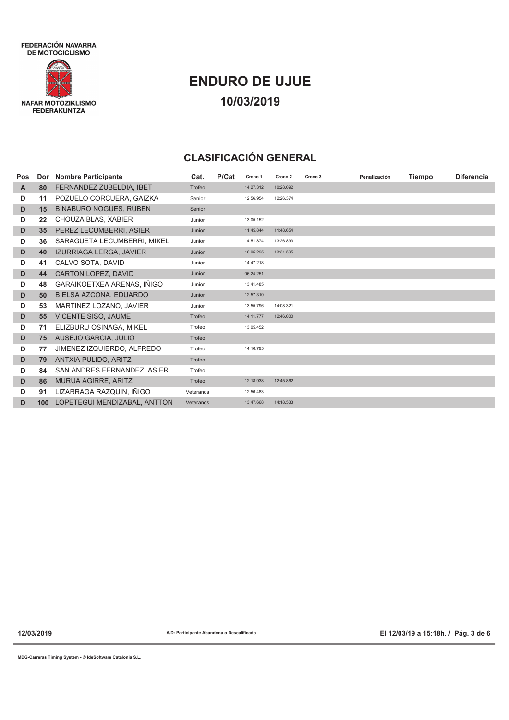

# **ENDURO DE UJUE 10/03/2019**

## **CLASIFICACIÓN GENERAL**

| Pos | Dor | <b>Nombre Participante</b>    | Cat.      | P/Cat | Crono 1   | Crono 2   | Crono 3 | Penalización | <b>Tiempo</b> | <b>Diferencia</b> |
|-----|-----|-------------------------------|-----------|-------|-----------|-----------|---------|--------------|---------------|-------------------|
| A   | 80  | FERNANDEZ ZUBELDIA, IBET      | Trofeo    |       | 14:27.312 | 10:28.092 |         |              |               |                   |
| D   | 11  | POZUELO CORCUERA, GAIZKA      | Senior    |       | 12:56.954 | 12:26.374 |         |              |               |                   |
| D   | 15  | <b>BINABURO NOGUES, RUBEN</b> | Senior    |       |           |           |         |              |               |                   |
| D   | 22  | CHOUZA BLAS, XABIER           | Junior    |       | 13:05.152 |           |         |              |               |                   |
| D   | 35  | PEREZ LECUMBERRI, ASIER       | Junior    |       | 11:45.844 | 11:48.654 |         |              |               |                   |
| D   | 36  | SARAGUETA LECUMBERRI, MIKEL   | Junior    |       | 14:51.874 | 13:26.893 |         |              |               |                   |
| D   | 40  | IZURRIAGA LERGA, JAVIER       | Junior    |       | 16:05.295 | 13:31.595 |         |              |               |                   |
| D   | 41  | CALVO SOTA, DAVID             | Junior    |       | 14:47.218 |           |         |              |               |                   |
| D   | 44  | CARTON LOPEZ, DAVID           | Junior    |       | 06:24.251 |           |         |              |               |                   |
| D   | 48  | GARAIKOETXEA ARENAS, IÑIGO    | Junior    |       | 13:41.485 |           |         |              |               |                   |
| D   | 50  | BIELSA AZCONA, EDUARDO        | Junior    |       | 12:57.310 |           |         |              |               |                   |
| D   | 53  | MARTINEZ LOZANO, JAVIER       | Junior    |       | 13:55.796 | 14:08.321 |         |              |               |                   |
| D   | 55  | <b>VICENTE SISO, JAUME</b>    | Trofeo    |       | 14:11.777 | 12:46.000 |         |              |               |                   |
| D   | 71  | ELIZBURU OSINAGA, MIKEL       | Trofeo    |       | 13:05.452 |           |         |              |               |                   |
| D   | 75  | AUSEJO GARCIA, JULIO          | Trofeo    |       |           |           |         |              |               |                   |
| D   | 77  | JIMENEZ IZQUIERDO, ALFREDO    | Trofeo    |       | 14:16.795 |           |         |              |               |                   |
| D   | 79  | ANTXIA PULIDO, ARITZ          | Trofeo    |       |           |           |         |              |               |                   |
| D   | 84  | SAN ANDRES FERNANDEZ, ASIER   | Trofeo    |       |           |           |         |              |               |                   |
| D   | 86  | MURUA AGIRRE, ARITZ           | Trofeo    |       | 12:18.938 | 12:45.862 |         |              |               |                   |
| D   | 91  | LIZARRAGA RAZQUIN, IÑIGO      | Veteranos |       | 12:56.483 |           |         |              |               |                   |
| D   | 100 | LOPETEGUI MENDIZABAL, ANTTON  | Veteranos |       | 13:47.668 | 14:18.533 |         |              |               |                   |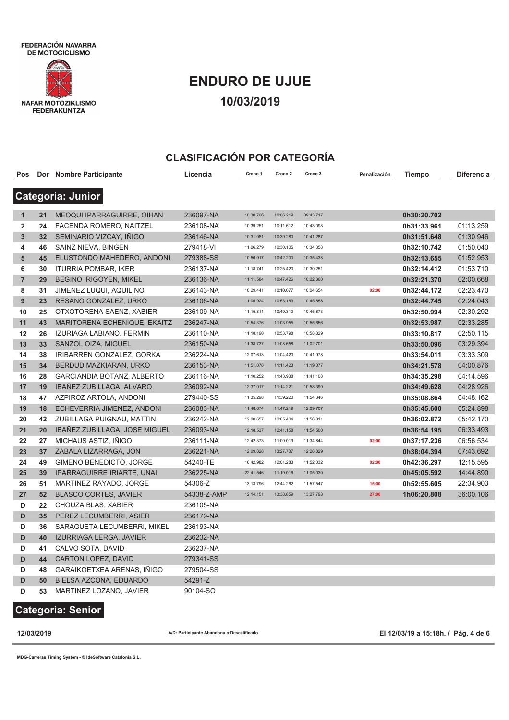FEDERACIÓN NAVARRA DE MOTOCICLISMO



# **ENDURO DE UJUE 10/03/2019**

#### **CLASIFICACIÓN POR CATEGORÍA**

| Pos            |    | Dor Nombre Participante           | Licencia    | Crono 1   | Crono 2   | Crono 3   | Penalización | Tiempo      | <b>Diferencia</b> |
|----------------|----|-----------------------------------|-------------|-----------|-----------|-----------|--------------|-------------|-------------------|
|                |    | <b>Categoria: Junior</b>          |             |           |           |           |              |             |                   |
|                |    |                                   |             |           |           |           |              |             |                   |
| 1              | 21 | <b>MEOQUI IPARRAGUIRRE, OIHAN</b> | 236097-NA   | 10:30.766 | 10:06.219 | 09:43.717 |              | 0h30:20.702 |                   |
| 2              | 24 | FACENDA ROMERO, NAITZEL           | 236108-NA   | 10:39.251 | 10:11.612 | 10:43.098 |              | 0h31:33.961 | 01:13.259         |
| 3              | 32 | SEMINARIO VIZCAY, IÑIGO           | 236146-NA   | 10:31.081 | 10:39.280 | 10:41.287 |              | 0h31:51.648 | 01:30.946         |
| 4              | 46 | SAINZ NIEVA, BINGEN               | 279418-VI   | 11:06.279 | 10:30.105 | 10:34.358 |              | 0h32:10.742 | 01:50.040         |
| 5              | 45 | ELUSTONDO MAHEDERO, ANDONI        | 279388-SS   | 10:56.017 | 10:42.200 | 10:35.438 |              | 0h32:13.655 | 01:52.953         |
| 6              | 30 | <b>ITURRIA POMBAR, IKER</b>       | 236137-NA   | 11:18.741 | 10:25.420 | 10:30.251 |              | 0h32:14.412 | 01:53.710         |
| $\overline{7}$ | 29 | <b>BEGINO IRIGOYEN, MIKEL</b>     | 236136-NA   | 11:11.584 | 10:47.426 | 10:22.360 |              | 0h32:21.370 | 02:00.668         |
| 8              | 31 | JIMENEZ LUQUI, AQUILINO           | 236143-NA   | 10:29.441 | 10:10.077 | 10:04.654 | 02:00        | 0h32:44.172 | 02:23.470         |
| 9              | 23 | RESANO GONZALEZ, URKO             | 236106-NA   | 11:05.924 | 10:53.163 | 10:45.658 |              | 0h32:44.745 | 02:24.043         |
| 10             | 25 | OTXOTORENA SAENZ, XABIER          | 236109-NA   | 11:15.811 | 10:49.310 | 10:45.873 |              | 0h32:50.994 | 02:30.292         |
| 11             | 43 | MARITORENA ECHENIQUE, EKAITZ      | 236247-NA   | 10:54.376 | 11:03.955 | 10:55.656 |              | 0h32:53.987 | 02:33.285         |
| 12             | 26 | IZURIAGA LABIANO, FERMIN          | 236110-NA   | 11:18.190 | 10:53.798 | 10:58.829 |              | 0h33:10.817 | 02:50.115         |
| 13             | 33 | SANZOL OIZA, MIGUEL               | 236150-NA   | 11:38.737 | 11:08.658 | 11:02.701 |              | 0h33:50.096 | 03:29.394         |
| 14             | 38 | IRIBARREN GONZALEZ, GORKA         | 236224-NA   | 12:07.613 | 11:04.420 | 10:41.978 |              | 0h33:54.011 | 03:33.309         |
| 15             | 34 | BERDUD MAZKIARAN, URKO            | 236153-NA   | 11:51.078 | 11:11.423 | 11:19.077 |              | 0h34:21.578 | 04:00.876         |
| 16             | 28 | GARCIANDIA BOTANZ, ALBERTO        | 236116-NA   | 11:10.252 | 11:43.938 | 11:41.108 |              | 0h34:35.298 | 04:14.596         |
| 17             | 19 | IBAÑEZ ZUBILLAGA, ALVARO          | 236092-NA   | 12:37.017 | 11:14.221 | 10:58.390 |              | 0h34:49.628 | 04:28.926         |
| 18             | 47 | AZPIROZ ARTOLA, ANDONI            | 279440-SS   | 11:35.298 | 11:39.220 | 11:54.346 |              | 0h35:08.864 | 04:48.162         |
| 19             | 18 | ECHEVERRIA JIMENEZ, ANDONI        | 236083-NA   | 11:48.674 | 11:47.219 | 12:09.707 |              | 0h35:45.600 | 05:24.898         |
| 20             | 42 | ZUBILLAGA PUIGNAU, MATTIN         | 236242-NA   | 12:00.657 | 12:05.404 | 11:56.811 |              | 0h36:02.872 | 05:42.170         |
| 21             | 20 | IBAÑEZ ZUBILLAGA, JOSE MIGUEL     | 236093-NA   | 12:18.537 | 12:41.158 | 11:54.500 |              | 0h36:54.195 | 06:33.493         |
| 22             | 27 | MICHAUS ASTIZ, IÑIGO              | 236111-NA   | 12:42.373 | 11:00.019 | 11:34.844 | 02:00        | 0h37:17.236 | 06:56.534         |
| 23             | 37 | ZABALA LIZARRAGA, JON             | 236221-NA   | 12:09.828 | 13:27.737 | 12:26.829 |              | 0h38:04.394 | 07:43.692         |
| 24             | 49 | GIMENO BENEDICTO, JORGE           | 54240-TE    | 16:42.982 | 12:01.283 | 11:52.032 | 02:00        | 0h42:36.297 | 12:15.595         |
| 25             | 39 | <b>IPARRAGUIRRE IRIARTE, UNAI</b> | 236225-NA   | 22:41.546 | 11:19.016 | 11:05.030 |              | 0h45:05.592 | 14:44.890         |
| 26             | 51 | MARTINEZ RAYADO, JORGE            | 54306-Z     | 13:13.796 | 12:44.262 | 11:57.547 | 15:00        | 0h52:55.605 | 22:34.903         |
| 27             | 52 | <b>BLASCO CORTES, JAVIER</b>      | 54338-Z-AMP | 12:14.151 | 13:38.859 | 13:27.798 | 27:00        | 1h06:20.808 | 36:00.106         |
| D              | 22 | CHOUZA BLAS, XABIER               | 236105-NA   |           |           |           |              |             |                   |
| D              | 35 | PEREZ LECUMBERRI, ASIER           | 236179-NA   |           |           |           |              |             |                   |
| D              | 36 | SARAGUETA LECUMBERRI, MIKEL       | 236193-NA   |           |           |           |              |             |                   |
| D              | 40 | IZURRIAGA LERGA, JAVIER           | 236232-NA   |           |           |           |              |             |                   |
| D              | 41 | CALVO SOTA, DAVID                 | 236237-NA   |           |           |           |              |             |                   |
| D              | 44 | <b>CARTON LOPEZ, DAVID</b>        | 279341-SS   |           |           |           |              |             |                   |
| D              | 48 | GARAIKOETXEA ARENAS, IÑIGO        | 279504-SS   |           |           |           |              |             |                   |
| D              | 50 | BIELSA AZCONA, EDUARDO            | 54291-Z     |           |           |           |              |             |                   |
| D              | 53 | MARTINEZ LOZANO, JAVIER           | 90104-SO    |           |           |           |              |             |                   |

### **Categoria: Senior**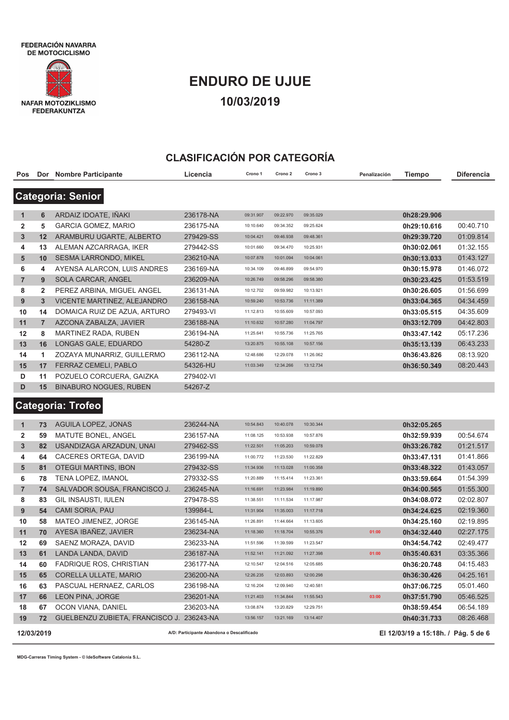FEDERACIÓN NAVARRA DE MOTOCICLISMO



# **ENDURO DE UJUE 10/03/2019**

#### **CLASIFICACIÓN POR CATEGORÍA**

| Pos          |                | Dor Nombre Participante                   | Licencia  | Crono 1   | Crono <sub>2</sub> | Crono 3   | Penalización | Tiempo      | Diferencia |
|--------------|----------------|-------------------------------------------|-----------|-----------|--------------------|-----------|--------------|-------------|------------|
|              |                | <b>Categoria: Senior</b>                  |           |           |                    |           |              |             |            |
|              |                |                                           |           |           |                    |           |              |             |            |
| $\mathbf{1}$ | 6              | ARDAIZ IDOATE, IÑAKI                      | 236178-NA | 09:31.907 | 09:22.970          | 09:35.029 |              | 0h28:29.906 |            |
| 2            | 5              | <b>GARCIA GOMEZ, MARIO</b>                | 236175-NA | 10:10.640 | 09:34.352          | 09:25.624 |              | 0h29:10.616 | 00:40.710  |
| 3            | 12             | ARAMBURU UGARTE, ALBERTO                  | 279429-SS | 10:04.421 | 09:46.938          | 09:48.361 |              | 0h29:39.720 | 01:09.814  |
| 4            | 13             | ALEMAN AZCARRAGA, IKER                    | 279442-SS | 10:01.660 | 09:34.470          | 10:25.931 |              | 0h30:02.061 | 01:32.155  |
| 5            | 10             | SESMA LARRONDO, MIKEL                     | 236210-NA | 10:07.878 | 10:01.094          | 10:04.061 |              | 0h30:13.033 | 01:43.127  |
| 6            | 4              | AYENSA ALARCON, LUIS ANDRES               | 236169-NA | 10:34.109 | 09:46.899          | 09:54.970 |              | 0h30:15.978 | 01:46.072  |
| 7            | 9              | SOLA CARCAR, ANGEL                        | 236209-NA | 10:26.749 | 09:58.296          | 09:58.380 |              | 0h30:23.425 | 01:53.519  |
| 8            | $\overline{2}$ | PEREZ ARBINA, MIGUEL ANGEL                | 236131-NA | 10:12.702 | 09:59.982          | 10:13.921 |              | 0h30:26.605 | 01:56.699  |
| 9            | 3              | VICENTE MARTINEZ, ALEJANDRO               | 236158-NA | 10:59.240 | 10:53.736          | 11:11.389 |              | 0h33:04.365 | 04:34.459  |
| 10           | 14             | DOMAICA RUIZ DE AZUA, ARTURO              | 279493-VI | 11:12.813 | 10:55.609          | 10:57.093 |              | 0h33:05.515 | 04:35.609  |
| 11           | $\overline{7}$ | AZCONA ZABALZA, JAVIER                    | 236188-NA | 11:10.632 | 10:57.280          | 11:04.797 |              | 0h33:12.709 | 04:42.803  |
| 12           | 8              | MARTINEZ RADA, RUBEN                      | 236194-NA | 11:25.641 | 10:55.736          | 11:25.765 |              | 0h33:47.142 | 05:17.236  |
| 13           | 16             | LONGAS GALE, EDUARDO                      | 54280-Z   | 13:20.875 | 10:55.108          | 10:57.156 |              | 0h35:13.139 | 06:43.233  |
| 14           | 1              | ZOZAYA MUNARRIZ, GUILLERMO                | 236112-NA | 12:48.686 | 12:29.078          | 11:26.062 |              | 0h36:43.826 | 08:13.920  |
| 15           | 17             | FERRAZ CEMELI, PABLO                      | 54326-HU  | 11:03.349 | 12:34.266          | 13:12.734 |              | 0h36:50.349 | 08:20.443  |
| D            | 11             | POZUELO CORCUERA, GAIZKA                  | 279402-VI |           |                    |           |              |             |            |
| D            | 15             | <b>BINABURO NOGUES, RUBEN</b>             | 54267-Z   |           |                    |           |              |             |            |
|              |                | <b>Categoria: Trofeo</b>                  |           |           |                    |           |              |             |            |
|              |                |                                           |           |           |                    |           |              |             |            |
| $\mathbf{1}$ | 73             | <b>AGUILA LOPEZ, JONAS</b>                | 236244-NA | 10:54.843 | 10:40.078          | 10:30.344 |              | 0h32:05.265 |            |
| 2            | 59             | MATUTE BONEL, ANGEL                       | 236157-NA | 11:08.125 | 10:53.938          | 10:57.876 |              | 0h32:59.939 | 00:54.674  |
| $\mathbf{3}$ | 82             | USANDIZAGA ARZADUN, UNAI                  | 279462-SS | 11:22.501 | 11:05.203          | 10:59.078 |              | 0h33:26.782 | 01:21.517  |
| 4            | 64             | CACERES ORTEGA, DAVID                     | 236199-NA | 11:00.772 | 11:23.530          | 11:22.829 |              | 0h33:47.131 | 01:41.866  |
| 5            | 81             | <b>OTEGUI MARTINS, IBON</b>               | 279432-SS | 11:34.936 | 11:13.028          | 11:00.358 |              | 0h33:48.322 | 01:43.057  |
| 6            | 78             | TENA LOPEZ, IMANOL                        | 279332-SS | 11:20.889 | 11:15.414          | 11:23.361 |              | 0h33:59.664 | 01:54.399  |
| 7            | 74             | SALVADOR SOUSA, FRANCISCO J.              | 236245-NA | 11:16.691 | 11:23.984          | 11:19.890 |              | 0h34:00.565 | 01:55.300  |
| 8            | 83             | GIL INSAUSTI, IULEN                       | 279478-SS | 11:38.551 | 11:11.534          | 11:17.987 |              | 0h34:08.072 | 02:02.807  |
| 9            | 54             | <b>CAMI SORIA, PAU</b>                    | 139984-L  | 11:31.904 | 11:35.003          | 11:17.718 |              | 0h34:24.625 | 02:19.360  |
| 10           | 58             | MATEO JIMENEZ, JORGE                      | 236145-NA | 11:26.891 | 11:44.664          | 11:13.605 |              | 0h34:25.160 | 02:19.895  |
| 11           | 70             | AYESA IBAÑEZ, JAVIER                      | 236234-NA | 11:18.360 | 11:18.704          | 10:55.376 | 01:00        | 0h34:32.440 | 02:27.175  |
| 12           | 69             | SAENZ MORAZA, DAVID                       | 236233-NA | 11:51.596 | 11:39.599          | 11:23.547 |              | 0h34:54.742 | 02:49.477  |
| 13           | 61             | LANDA LANDA, DAVID                        | 236187-NA | 11:52.141 | 11:21.092          | 11:27.398 | 01:00        | 0h35:40.631 | 03:35.366  |
| 14           | 60             | FADRIQUE ROS, CHRISTIAN                   | 236177-NA | 12:10.547 | 12:04.516          | 12:05.685 |              | 0h36:20.748 | 04:15.483  |
| 15           | 65             | CORELLA ULLATE, MARIO                     | 236200-NA | 12:26.235 | 12:03.893          | 12:00.298 |              | 0h36:30.426 | 04:25.161  |
| 16           | 63             | PASCUAL HERNAEZ, CARLOS                   | 236198-NA | 12:16.204 | 12:09.940          | 12:40.581 |              | 0h37:06.725 | 05:01.460  |
| 17           | 66             | LEON PINA, JORGE                          | 236201-NA | 11:21.403 | 11:34.844          | 11:55.543 | 03:00        | 0h37:51.790 | 05:46.525  |
| 18           | 67             | OCON VIANA, DANIEL                        | 236203-NA | 13:08.874 | 13:20.829          | 12:29.751 |              | 0h38:59.454 | 06:54.189  |
| 19           | 72             | GUELBENZU ZUBIETA, FRANCISCO J. 236243-NA |           | 13:56.157 | 13:21.169          | 13:14.407 |              | 0h40:31.733 | 08:26.468  |
|              |                |                                           |           |           |                    |           |              |             |            |

**12/03/2019 A/D: Participante Abandona o Descalificado El 12/03/19 a 15:18h. / Pág. 5 de 6**